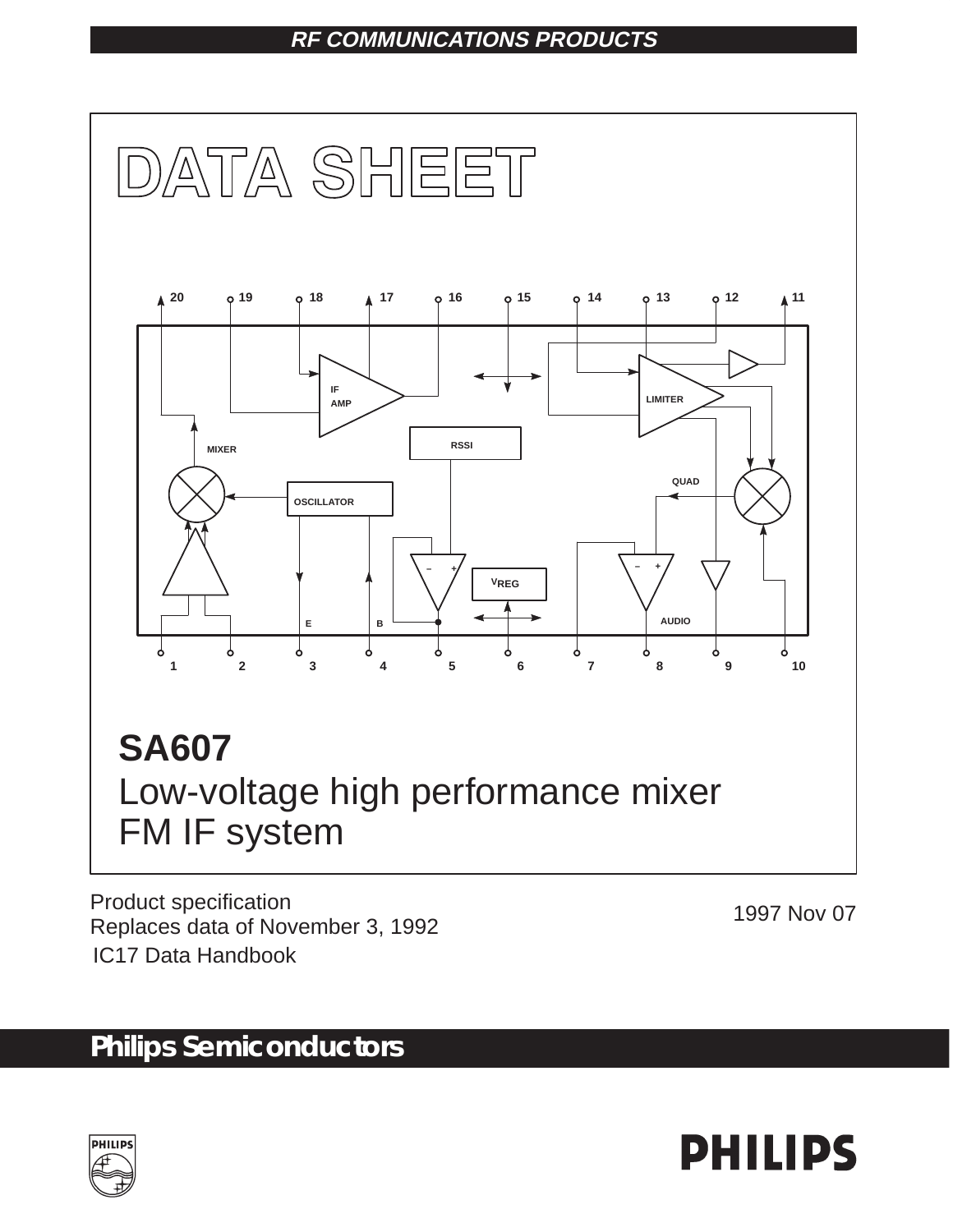### **RF COMMUNICATIONS PRODUCTS**



Product specification Product specification<br>Replaces data of November 3, 1992 IC17 Data Handbook

# **Philips Semiconductors**



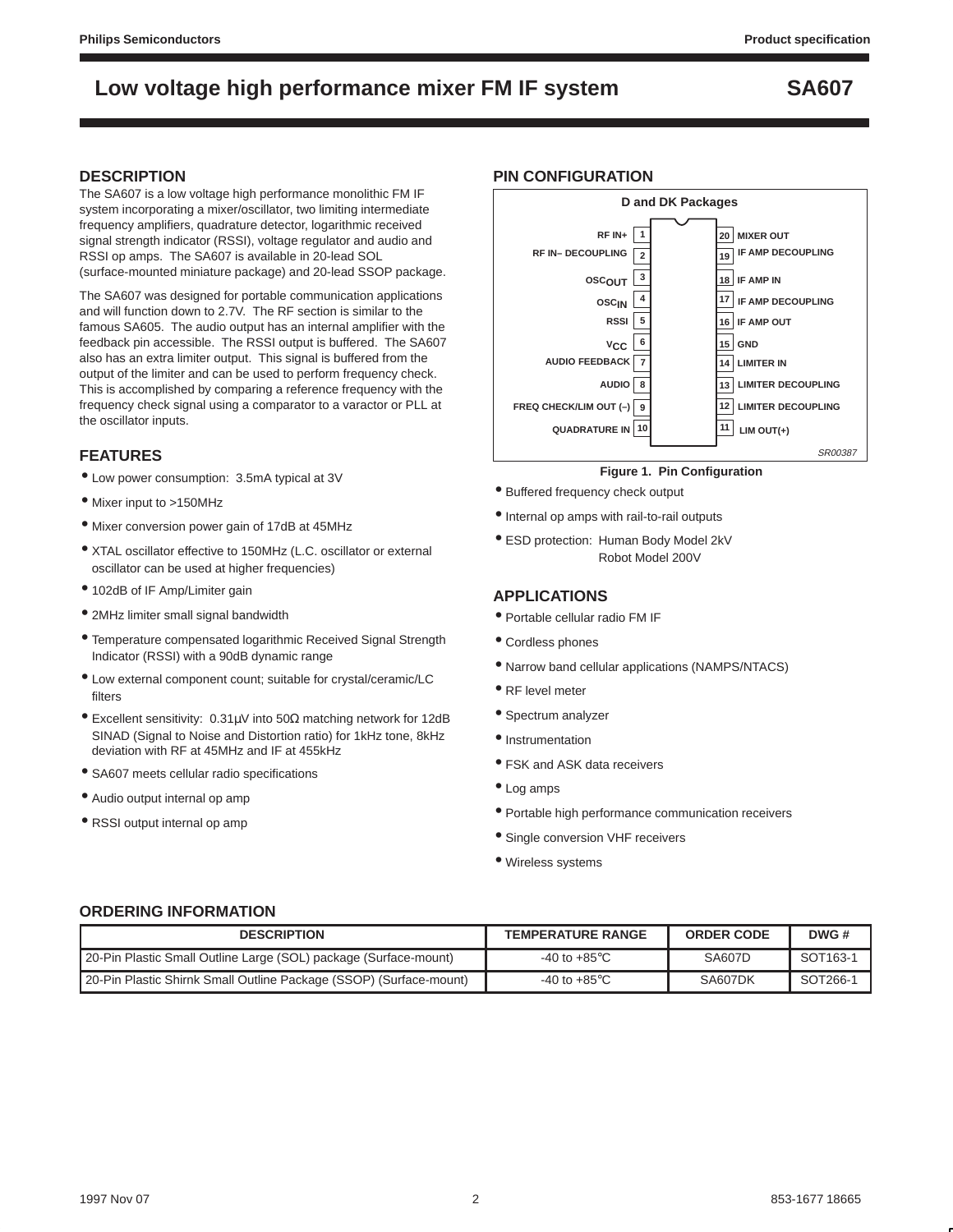### **DESCRIPTION**

The SA607 is a low voltage high performance monolithic FM IF system incorporating a mixer/oscillator, two limiting intermediate frequency amplifiers, quadrature detector, logarithmic received signal strength indicator (RSSI), voltage regulator and audio and RSSI op amps. The SA607 is available in 20-lead SOL (surface-mounted miniature package) and 20-lead SSOP package.

The SA607 was designed for portable communication applications and will function down to 2.7V. The RF section is similar to the famous SA605. The audio output has an internal amplifier with the feedback pin accessible. The RSSI output is buffered. The SA607 also has an extra limiter output. This signal is buffered from the output of the limiter and can be used to perform frequency check. This is accomplished by comparing a reference frequency with the frequency check signal using a comparator to a varactor or PLL at the oscillator inputs.

### **FEATURES**

- Low power consumption: 3.5mA typical at 3V
- Mixer input to >150MHz
- Mixer conversion power gain of 17dB at 45MHz
- XTAL oscillator effective to 150MHz (L.C. oscillator or external oscillator can be used at higher frequencies)
- 102dB of IF Amp/Limiter gain
- 2MHz limiter small signal bandwidth
- Temperature compensated logarithmic Received Signal Strength Indicator (RSSI) with a 90dB dynamic range
- Low external component count; suitable for crystal/ceramic/LC filters
- Excellent sensitivity: 0.31µV into 50Ω matching network for 12dB SINAD (Signal to Noise and Distortion ratio) for 1kHz tone, 8kHz deviation with RF at 45MHz and IF at 455kHz
- SA607 meets cellular radio specifications
- Audio output internal op amp
- RSSI output internal op amp

#### **PIN CONFIGURATION**



#### **Figure 1. Pin Configuration**

- Buffered frequency check output
- Internal op amps with rail-to-rail outputs
- ESD protection: Human Body Model 2kV Robot Model 200V

### **APPLICATIONS**

- Portable cellular radio FM IF
- Cordless phones
- Narrow band cellular applications (NAMPS/NTACS)
- RF level meter
- Spectrum analyzer
- Instrumentation
- FSK and ASK data receivers
- Log amps
- Portable high performance communication receivers
- Single conversion VHF receivers
- Wireless systems

### **ORDERING INFORMATION**

| <b>DESCRIPTION</b>                                                 | <b>TEMPERATURE RANGE</b> | <b>ORDER CODE</b> | DWG #    |
|--------------------------------------------------------------------|--------------------------|-------------------|----------|
| 20-Pin Plastic Small Outline Large (SOL) package (Surface-mount)   | -40 to +85 $^{\circ}$ C  | <b>SA607D</b>     | SOT163-1 |
| 20-Pin Plastic Shirnk Small Outline Package (SSOP) (Surface-mount) | -40 to +85 $^{\circ}$ C  | SA607DK           | SOT266-1 |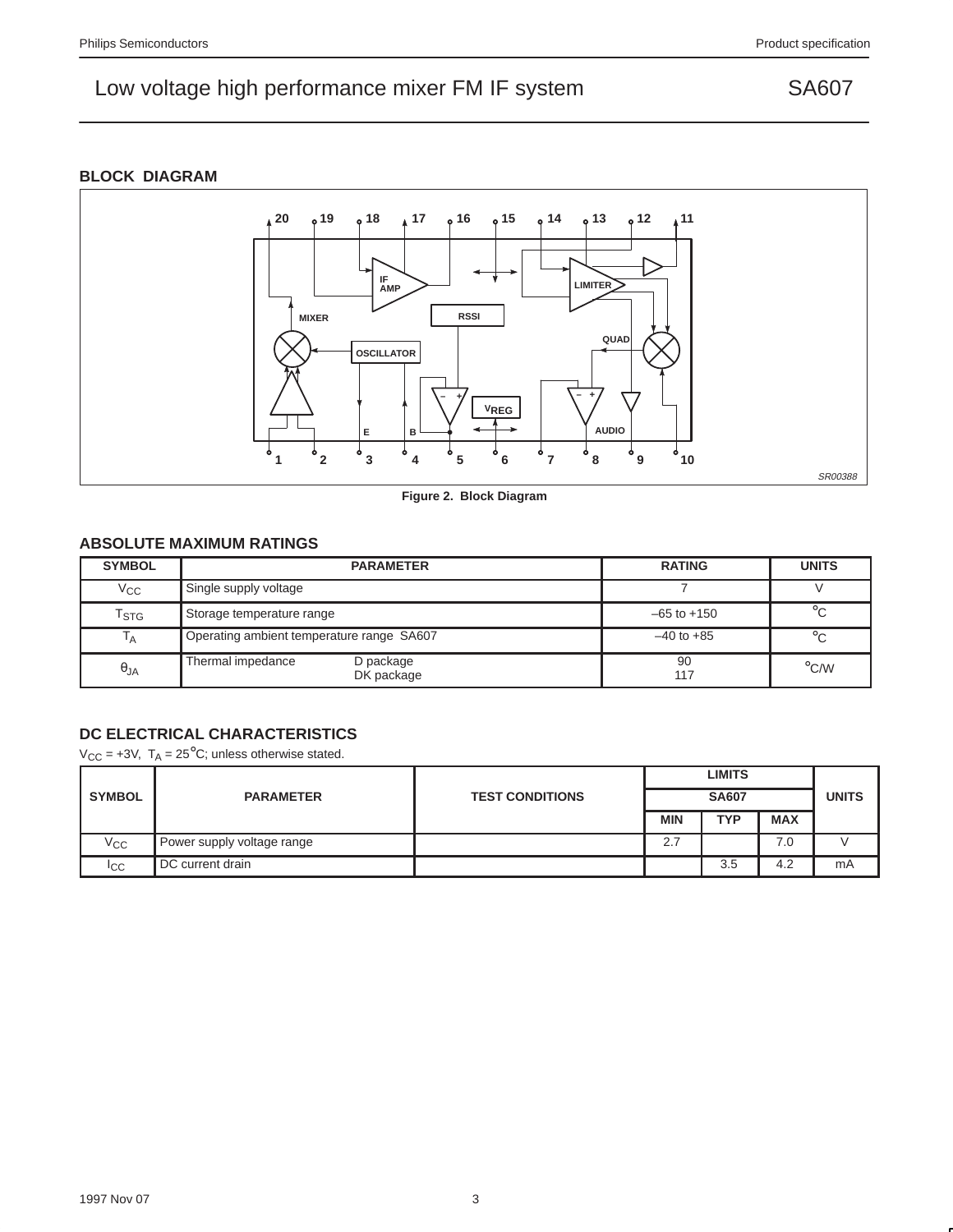### **BLOCK DIAGRAM**



**Figure 2. Block Diagram**

### **ABSOLUTE MAXIMUM RATINGS**

| <b>SYMBOL</b>               | <b>PARAMETER</b>                             | <b>RATING</b>   | <b>UNITS</b>       |
|-----------------------------|----------------------------------------------|-----------------|--------------------|
| $\rm v_{cc}$                | Single supply voltage                        |                 |                    |
| $\mathsf{T}_{\textsf{STG}}$ | Storage temperature range                    | $-65$ to $+150$ | $^{\circ}$ C       |
| $\mathsf{I}_{\mathsf{A}}$   | Operating ambient temperature range SA607    | $-40$ to $+85$  | $^{\circ}$ C       |
| $\theta_{JA}$               | Thermal impedance<br>D package<br>DK package | 90<br>117       | $\rm ^{\circ}$ C/W |

### **DC ELECTRICAL CHARACTERISTICS**

 $V_{CC}$  = +3V,  $T_A$  = 25<sup>°</sup>C; unless otherwise stated.

|                |                            |                        | <b>LIMITS</b> |              |            |              |
|----------------|----------------------------|------------------------|---------------|--------------|------------|--------------|
| <b>SYMBOL</b>  | <b>PARAMETER</b>           | <b>TEST CONDITIONS</b> |               | <b>SA607</b> |            | <b>UNITS</b> |
|                |                            |                        | <b>MIN</b>    | <b>TYP</b>   | <b>MAX</b> |              |
| $V_{\rm CC}$   | Power supply voltage range |                        | 2.7           |              | 7.0        |              |
| <sub>ICC</sub> | DC current drain           |                        |               | 3.5          | 4.2        | mA           |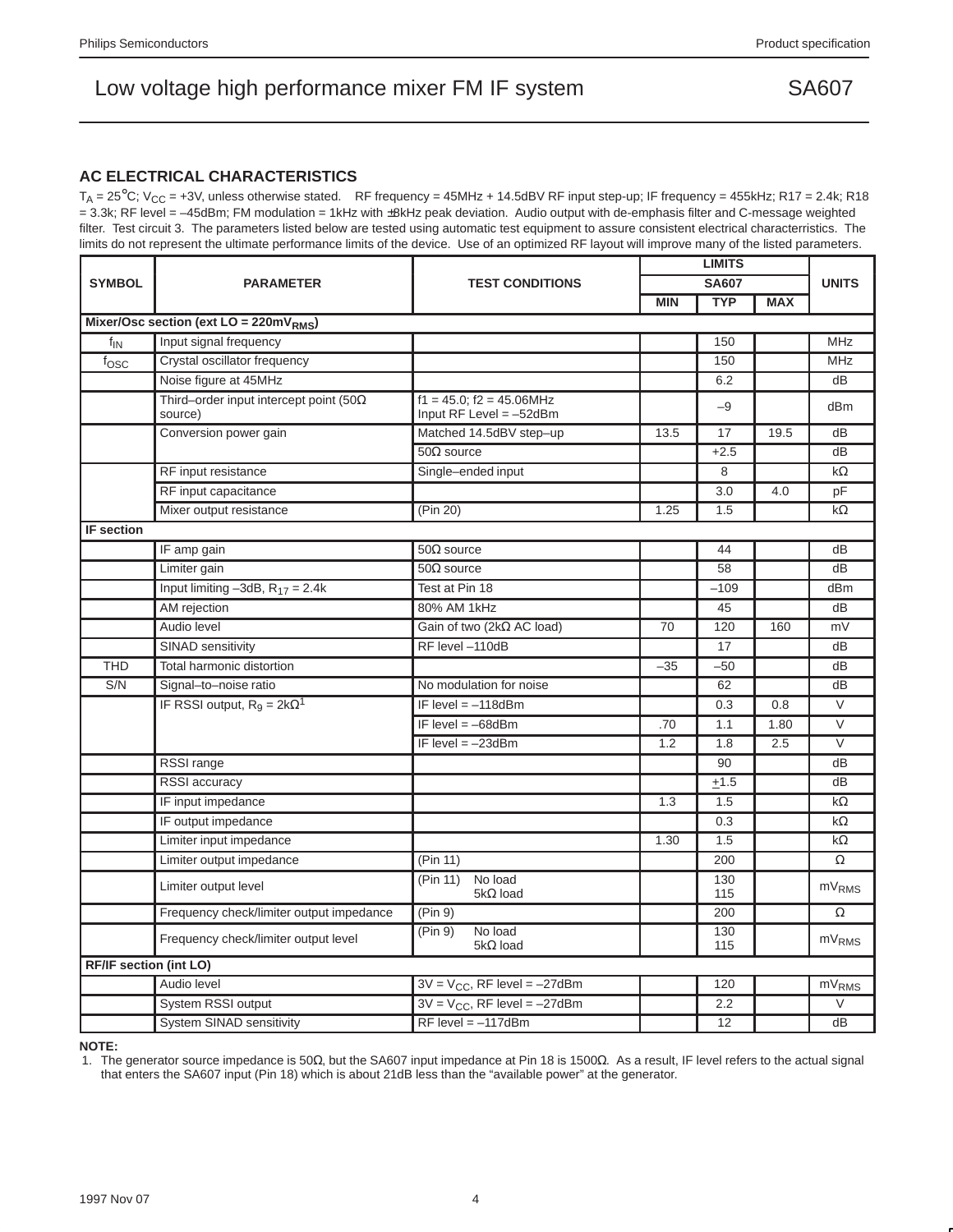### **AC ELECTRICAL CHARACTERISTICS**

 $T_A = 25^{\circ}$ C; V<sub>CC</sub> = +3V, unless otherwise stated. RF frequency = 45MHz + 14.5dBV RF input step-up; IF frequency = 455kHz; R17 = 2.4k; R18 = 3.3k; RF level = –45dBm; FM modulation = 1kHz with ±8kHz peak deviation. Audio output with de-emphasis filter and C-message weighted filter. Test circuit 3. The parameters listed below are tested using automatic test equipment to assure consistent electrical characterristics. The limits do not represent the ultimate performance limits of the device. Use of an optimized RF layout will improve many of the listed parameters.

|                               | <b>PARAMETER</b>                                          | <b>TEST CONDITIONS</b>                                        |            | <b>LIMITS</b> |            |                   |
|-------------------------------|-----------------------------------------------------------|---------------------------------------------------------------|------------|---------------|------------|-------------------|
| <b>SYMBOL</b>                 |                                                           |                                                               |            | <b>SA607</b>  |            |                   |
|                               |                                                           |                                                               | <b>MIN</b> | <b>TYP</b>    | <b>MAX</b> |                   |
|                               | Mixer/Osc section (ext $LO = 220mVRMS$ )                  |                                                               |            |               |            |                   |
| $f_{IN}$                      | Input signal frequency                                    |                                                               |            | 150           |            | <b>MHz</b>        |
| $f_{\rm OSC}$                 | Crystal oscillator frequency                              |                                                               |            | 150           |            | <b>MHz</b>        |
|                               | Noise figure at 45MHz                                     |                                                               |            | 6.2           |            | dB                |
|                               | Third-order input intercept point (50 $\Omega$<br>source) | $f1 = 45.0$ ; $f2 = 45.06$ MHz<br>Input $RF$ Level = $-52dBm$ |            | $-9$          |            | dBm               |
|                               | Conversion power gain                                     | Matched 14.5dBV step-up                                       | 13.5       | 17            | 19.5       | dB                |
|                               |                                                           | $50\Omega$ source                                             |            | $+2.5$        |            | dB                |
|                               | RF input resistance                                       | Single-ended input                                            |            | 8             |            | $k\Omega$         |
|                               | RF input capacitance                                      |                                                               |            | 3.0           | 4.0        | pF                |
|                               | Mixer output resistance                                   | (Pin 20)                                                      | 1.25       | 1.5           |            | $k\Omega$         |
| <b>IF</b> section             |                                                           |                                                               |            |               |            |                   |
|                               | IF amp gain                                               | $50\Omega$ source                                             |            | 44            |            | dB                |
|                               | Limiter gain                                              | $50\Omega$ source                                             |            | 58            |            | dB                |
|                               | Input limiting $-3dB$ , $R_{17} = 2.4k$                   | Test at Pin 18                                                |            | $-109$        |            | dBm               |
|                               | AM rejection                                              | 80% AM 1kHz                                                   |            | 45            |            | dB                |
|                               | Audio level                                               | Gain of two (2kΩ AC load)                                     | 70         | 120           | 160        | mV                |
|                               | SINAD sensitivity                                         | RF level -110dB                                               |            | 17            |            | dB                |
| <b>THD</b>                    | Total harmonic distortion                                 |                                                               | $-35$      | $-50$         |            | dB                |
| S/N                           | Signal-to-noise ratio                                     | No modulation for noise                                       |            | 62            |            | dB                |
|                               | IF RSSI output, $R_9 = 2k\Omega^1$                        | IF level $= -118$ dBm                                         |            | 0.3           | 0.8        | $\vee$            |
|                               |                                                           | IF level $=$ -68dBm                                           | .70        | 1.1           | 1.80       | $\vee$            |
|                               |                                                           | IF level $=-23$ dBm                                           | 1.2        | 1.8           | 2.5        | $\overline{\vee}$ |
|                               | RSSI range                                                |                                                               |            | 90            |            | dB                |
|                               | RSSI accuracy                                             |                                                               |            | ±1.5          |            | dB                |
|                               | IF input impedance                                        |                                                               | 1.3        | 1.5           |            | $k\Omega$         |
|                               | IF output impedance                                       |                                                               |            | 0.3           |            | $k\Omega$         |
|                               | Limiter input impedance                                   |                                                               | 1.30       | 1.5           |            | $k\Omega$         |
|                               | Limiter output impedance                                  | (Pin 11)                                                      |            | 200           |            | $\Omega$          |
|                               | Limiter output level                                      | (Pin 11)<br>No load<br>$5k\Omega$ load                        |            | 130<br>115    |            | mV <sub>RMS</sub> |
|                               | Frequency check/limiter output impedance                  | (Pin 9)                                                       |            | 200           |            | $\Omega$          |
|                               | Frequency check/limiter output level                      | (Pin 9)<br>No load<br>$5k\Omega$ load                         |            | 130<br>115    |            | mV <sub>RMS</sub> |
| <b>RF/IF section (int LO)</b> |                                                           |                                                               |            |               |            |                   |
|                               | Audio level                                               | $3V = V_{CC}$ , RF level = -27dBm                             |            | 120           |            | mV <sub>RMS</sub> |
|                               | System RSSI output                                        | $3V = V_{CC}$ , RF level = -27dBm                             |            | 2.2           |            | $\vee$            |
|                               | <b>System SINAD sensitivity</b>                           | $RF$ level = $-117dBm$                                        |            | 12            |            | dB                |

**NOTE:**

1. The generator source impedance is 50Ω, but the SA607 input impedance at Pin 18 is 1500Ω. As a result, IF level refers to the actual signal that enters the SA607 input (Pin 18) which is about 21dB less than the "available power" at the generator.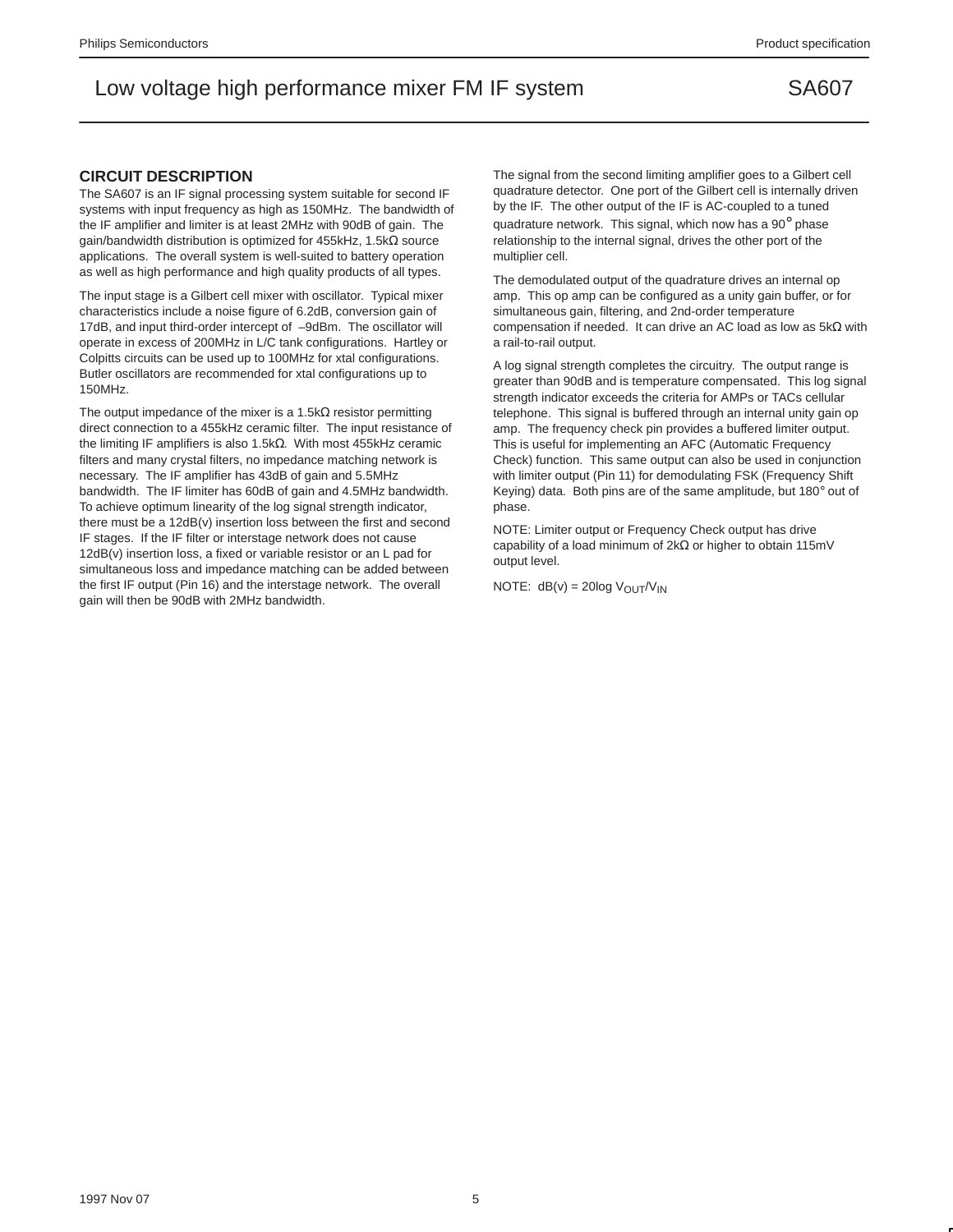#### **CIRCUIT DESCRIPTION**

The SA607 is an IF signal processing system suitable for second IF systems with input frequency as high as 150MHz. The bandwidth of the IF amplifier and limiter is at least 2MHz with 90dB of gain. The gain/bandwidth distribution is optimized for 455kHz, 1.5kΩ source applications. The overall system is well-suited to battery operation as well as high performance and high quality products of all types.

The input stage is a Gilbert cell mixer with oscillator. Typical mixer characteristics include a noise figure of 6.2dB, conversion gain of 17dB, and input third-order intercept of –9dBm. The oscillator will operate in excess of 200MHz in L/C tank configurations. Hartley or Colpitts circuits can be used up to 100MHz for xtal configurations. Butler oscillators are recommended for xtal configurations up to 150MHz.

The output impedance of the mixer is a 1.5kΩ resistor permitting direct connection to a 455kHz ceramic filter. The input resistance of the limiting IF amplifiers is also 1.5kΩ. With most 455kHz ceramic filters and many crystal filters, no impedance matching network is necessary. The IF amplifier has 43dB of gain and 5.5MHz bandwidth. The IF limiter has 60dB of gain and 4.5MHz bandwidth. To achieve optimum linearity of the log signal strength indicator, there must be a 12dB(v) insertion loss between the first and second IF stages. If the IF filter or interstage network does not cause 12dB(v) insertion loss, a fixed or variable resistor or an L pad for simultaneous loss and impedance matching can be added between the first IF output (Pin 16) and the interstage network. The overall gain will then be 90dB with 2MHz bandwidth.

The signal from the second limiting amplifier goes to a Gilbert cell quadrature detector. One port of the Gilbert cell is internally driven by the IF. The other output of the IF is AC-coupled to a tuned quadrature network. This signal, which now has a 90° phase relationship to the internal signal, drives the other port of the multiplier cell.

The demodulated output of the quadrature drives an internal op amp. This op amp can be configured as a unity gain buffer, or for simultaneous gain, filtering, and 2nd-order temperature compensation if needed. It can drive an AC load as low as 5kΩ with a rail-to-rail output.

A log signal strength completes the circuitry. The output range is greater than 90dB and is temperature compensated. This log signal strength indicator exceeds the criteria for AMPs or TACs cellular telephone. This signal is buffered through an internal unity gain op amp. The frequency check pin provides a buffered limiter output. This is useful for implementing an AFC (Automatic Frequency Check) function. This same output can also be used in conjunction with limiter output (Pin 11) for demodulating FSK (Frequency Shift Keying) data. Both pins are of the same amplitude, but 180° out of phase.

NOTE: Limiter output or Frequency Check output has drive capability of a load minimum of 2kΩ or higher to obtain 115mV output level.

NOTE:  $dB(v) = 20log V_{OUT}/V_{IN}$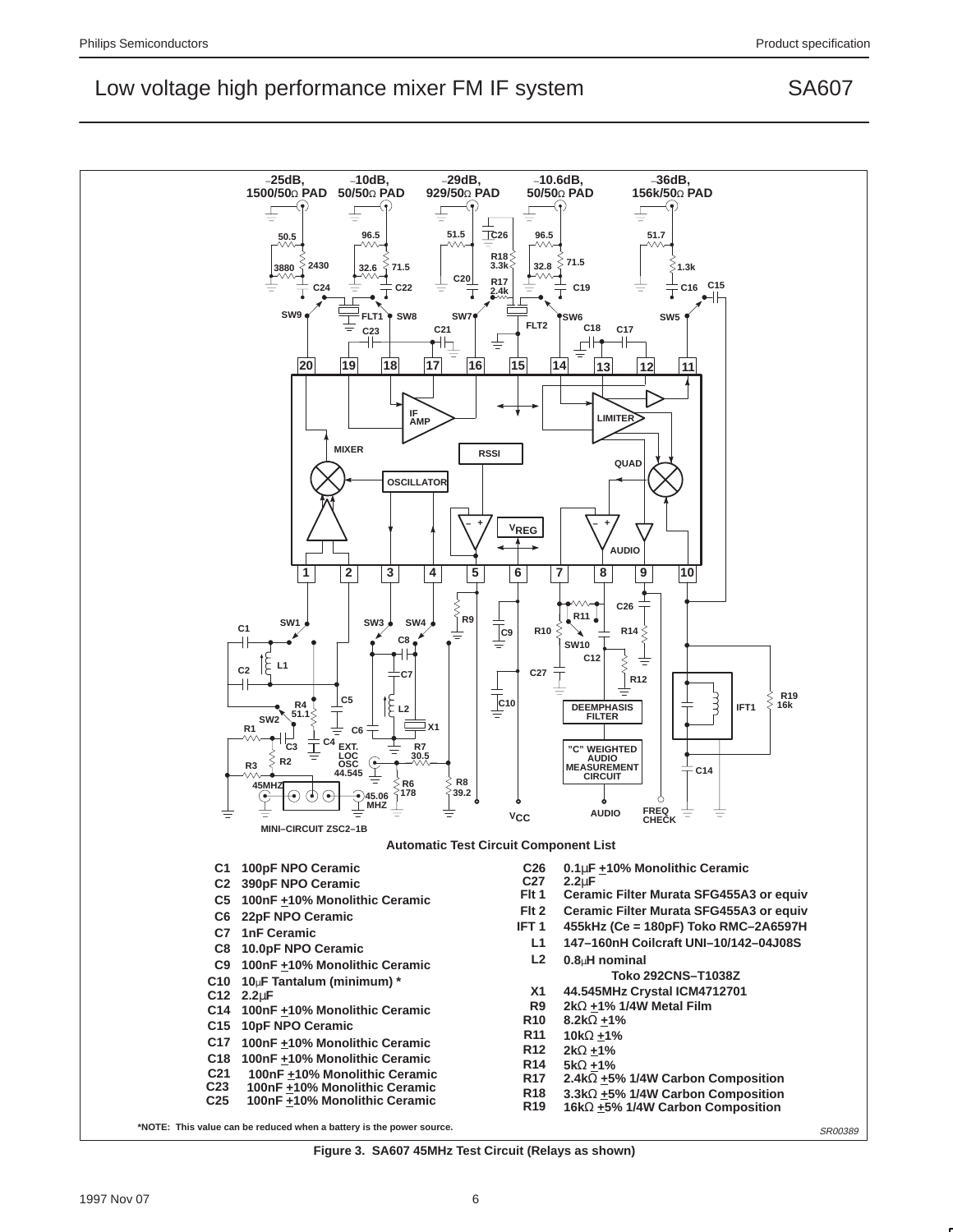

**Figure 3. SA607 45MHz Test Circuit (Relays as shown)**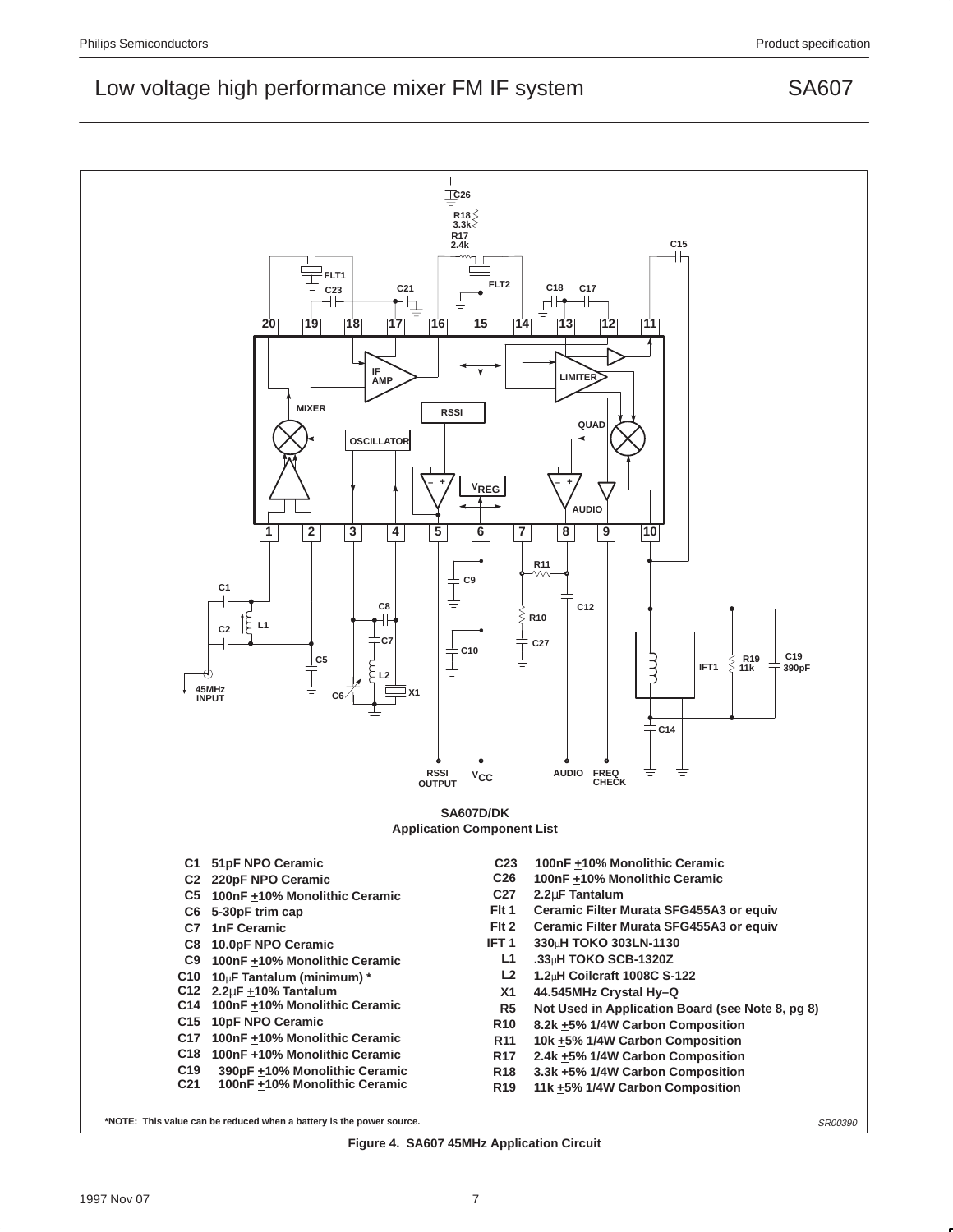

**Figure 4. SA607 45MHz Application Circuit**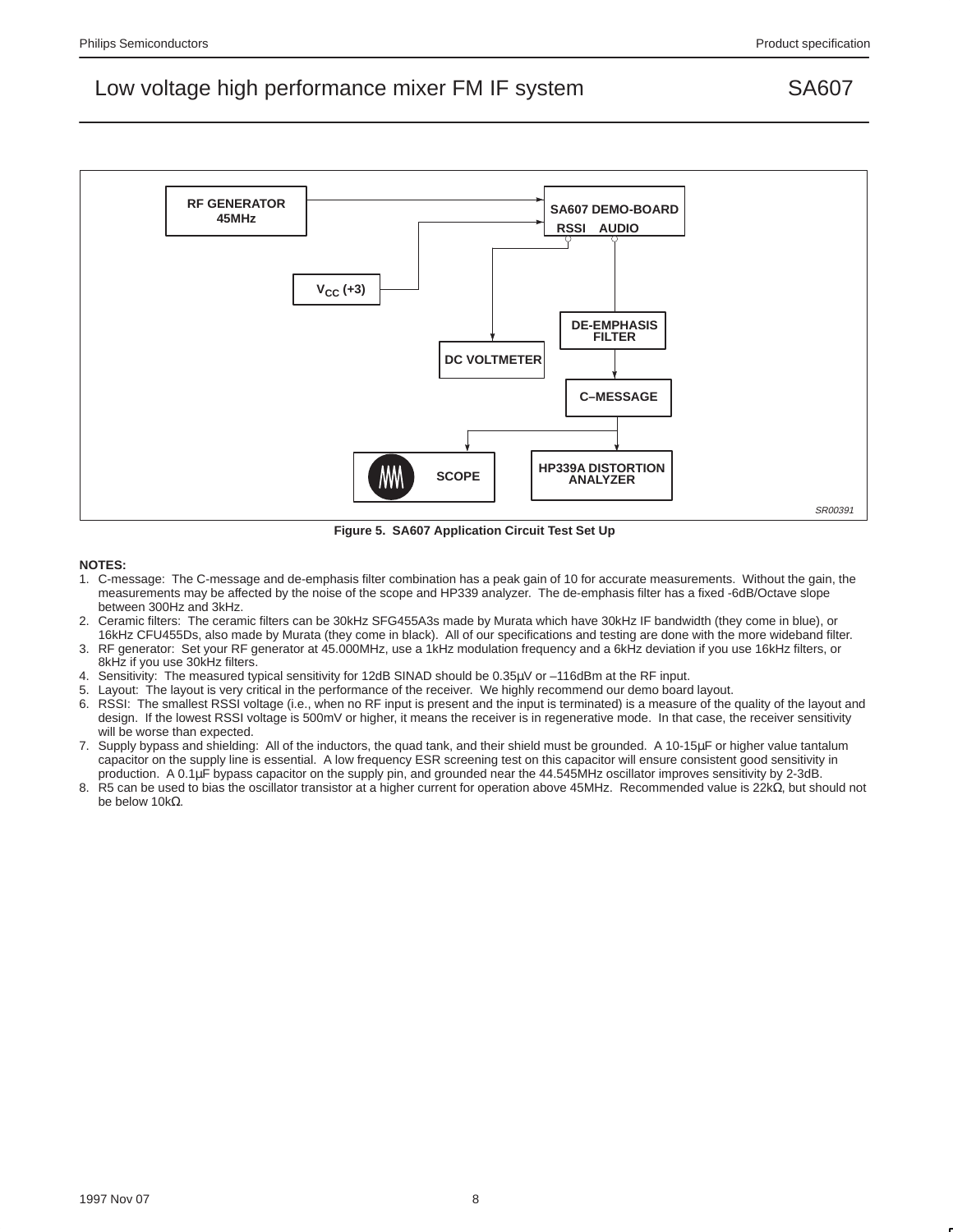

**Figure 5. SA607 Application Circuit Test Set Up**

#### **NOTES:**

- 1. C-message: The C-message and de-emphasis filter combination has a peak gain of 10 for accurate measurements. Without the gain, the measurements may be affected by the noise of the scope and HP339 analyzer. The de-emphasis filter has a fixed -6dB/Octave slope between 300Hz and 3kHz.
- 2. Ceramic filters: The ceramic filters can be 30kHz SFG455A3s made by Murata which have 30kHz IF bandwidth (they come in blue), or 16kHz CFU455Ds, also made by Murata (they come in black). All of our specifications and testing are done with the more wideband filter.
- 3. RF generator: Set your RF generator at 45.000MHz, use a 1kHz modulation frequency and a 6kHz deviation if you use 16kHz filters, or 8kHz if you use 30kHz filters.
- 4. Sensitivity: The measured typical sensitivity for 12dB SINAD should be 0.35µV or –116dBm at the RF input.
- Layout: The layout is very critical in the performance of the receiver. We highly recommend our demo board layout.
- 6. RSSI: The smallest RSSI voltage (i.e., when no RF input is present and the input is terminated) is a measure of the quality of the layout and design. If the lowest RSSI voltage is 500mV or higher, it means the receiver is in regenerative mode. In that case, the receiver sensitivity will be worse than expected.
- 7. Supply bypass and shielding: All of the inductors, the quad tank, and their shield must be grounded. A 10-15µF or higher value tantalum capacitor on the supply line is essential. A low frequency ESR screening test on this capacitor will ensure consistent good sensitivity in production. A 0.1µF bypass capacitor on the supply pin, and grounded near the 44.545MHz oscillator improves sensitivity by 2-3dB.
- 8. R5 can be used to bias the oscillator transistor at a higher current for operation above 45MHz. Recommended value is 22kΩ, but should not be below 10kΩ.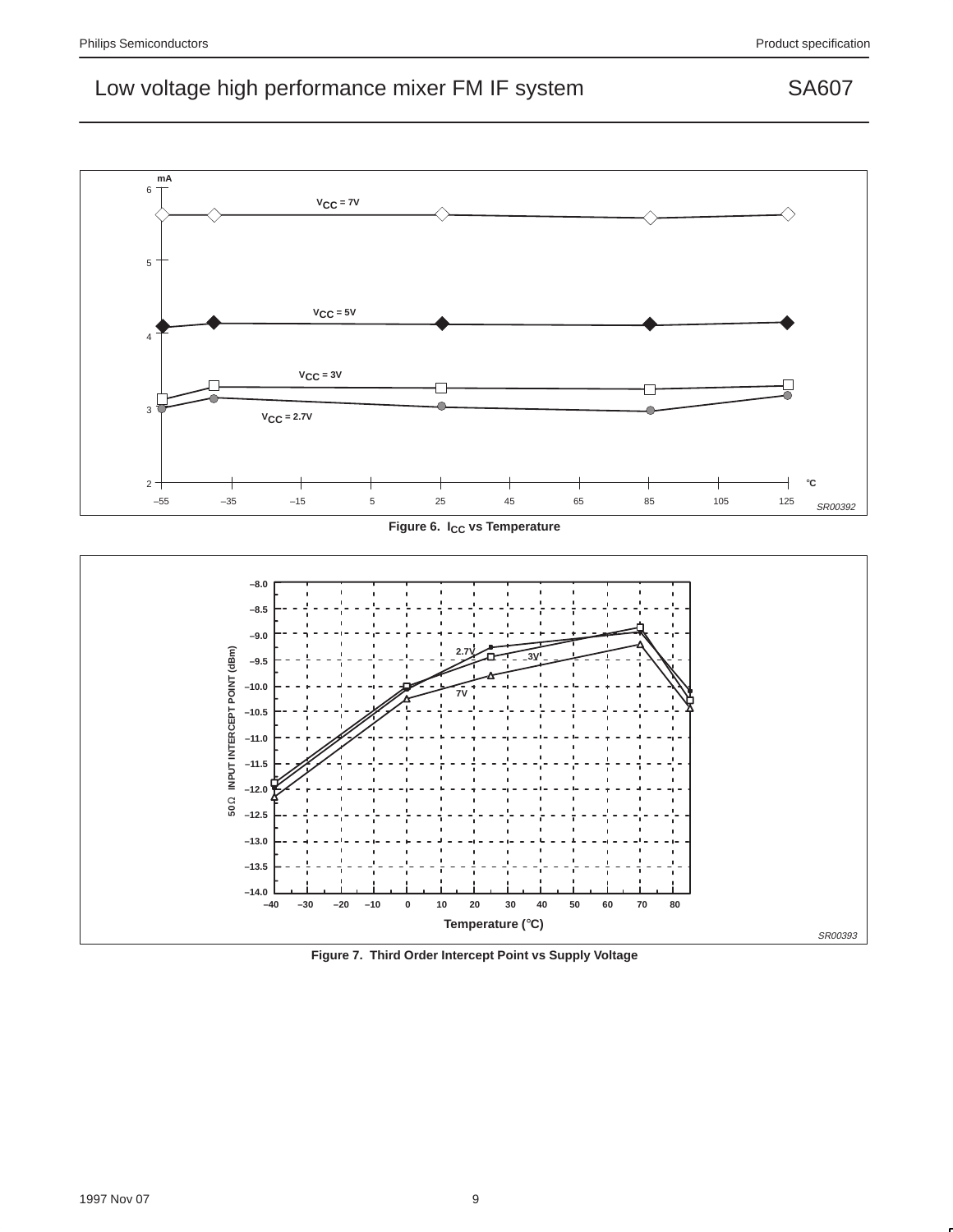

Figure 6. I<sub>CC</sub> vs Temperature



**Figure 7. Third Order Intercept Point vs Supply Voltage**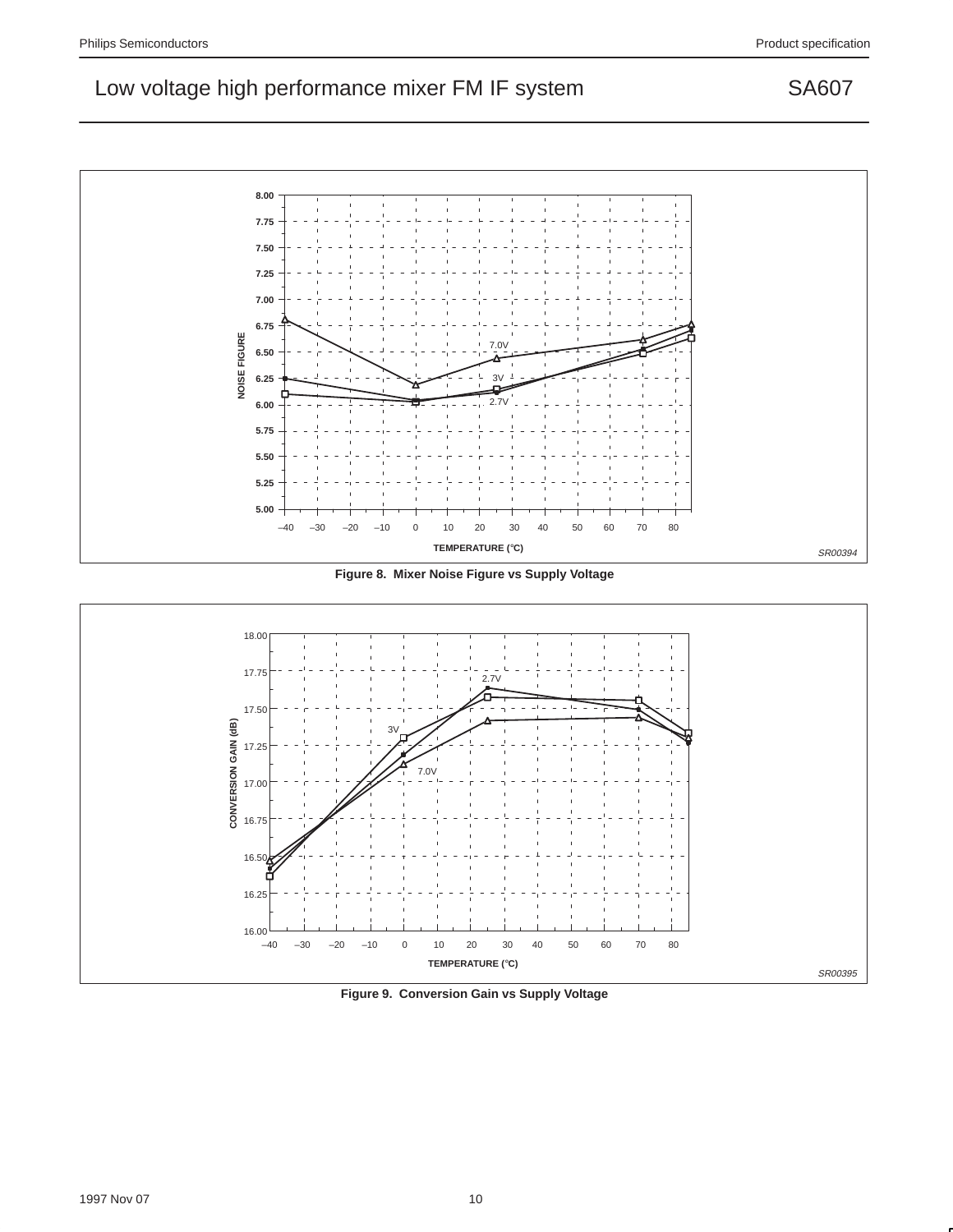

**Figure 8. Mixer Noise Figure vs Supply Voltage**



**Figure 9. Conversion Gain vs Supply Voltage**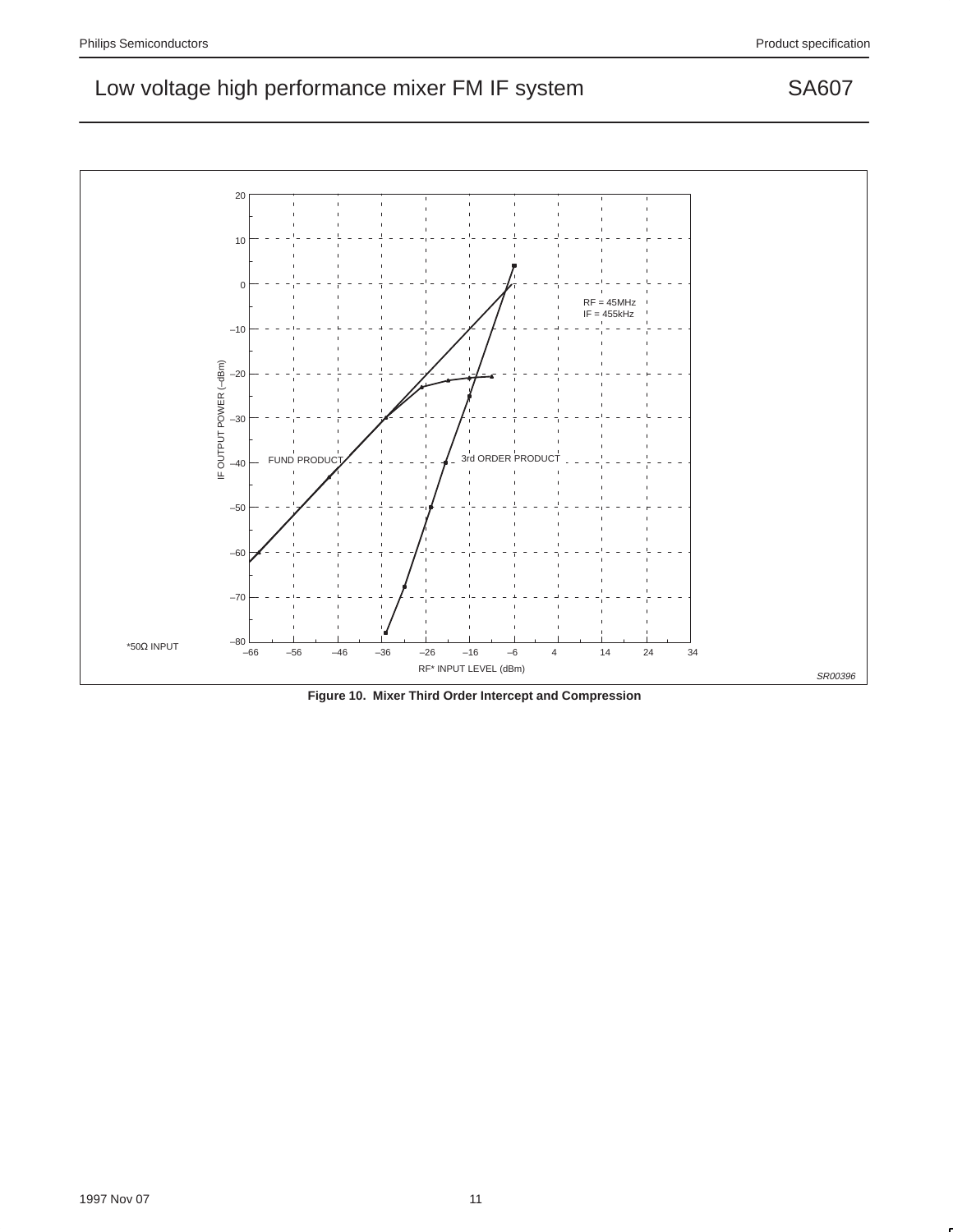20 10 0 RF = 45MHz IF = 455kHz –10 IF OUTPUT POWER (-dBm) IF OUTPUT POWER (–dBm) –20 –30 FUND PRODUCT  $\left\{ \begin{array}{ccc} 1 & 0 & 0 \\ 0 & 1 & 0 \\ 0 & 0 & 0 \end{array} \right\}$  3rd ORDER PRODUCT –40 –50 –60 –70  $-80$ <br> $-66$ \*50Ω INPUT –66 –56 –46 –36 –26 –16 –6 4 14 24 34 RF\* INPUT LEVEL (dBm)

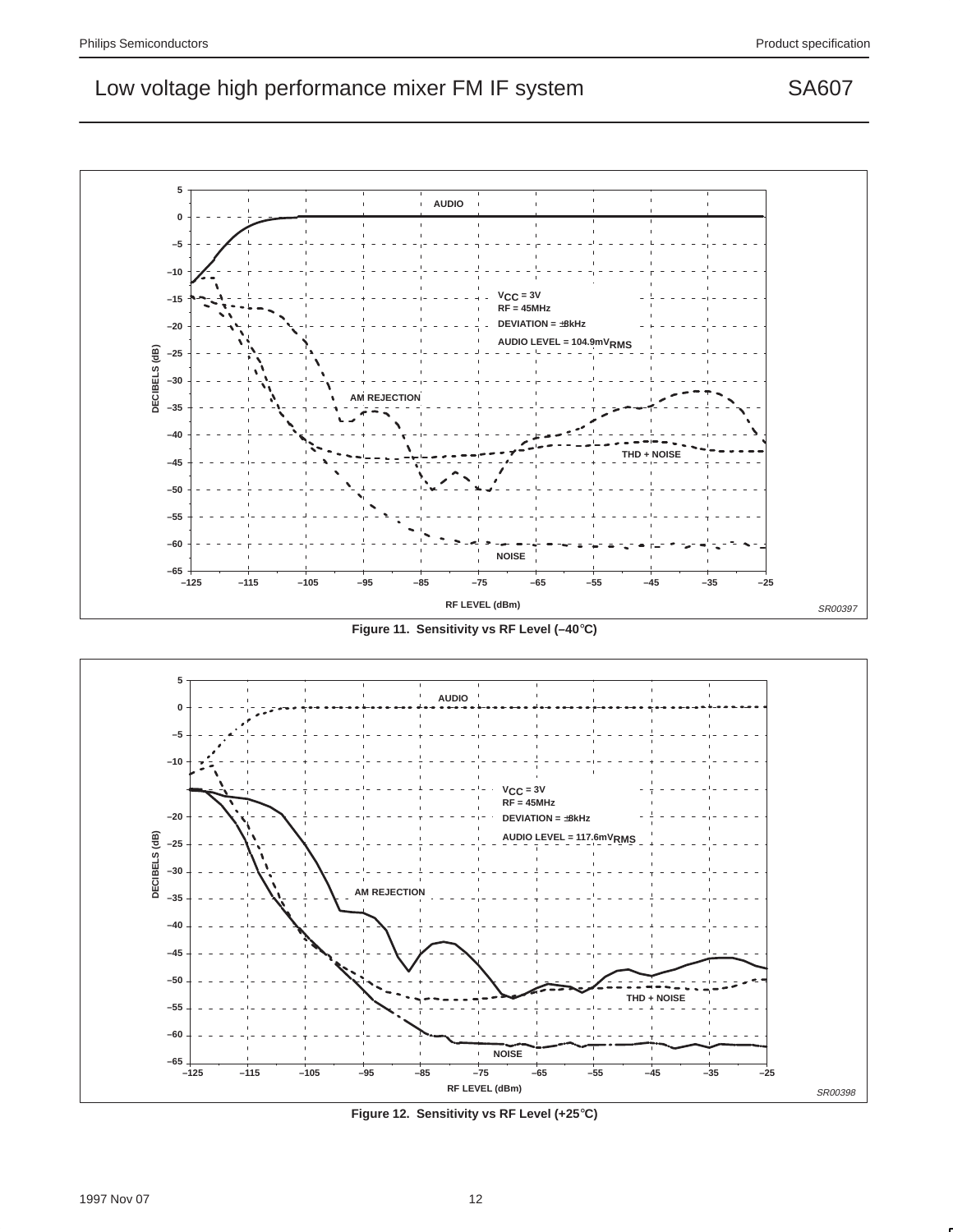**5 AUDIO 0 –5 –10 VCC = 3V –15 RF = 45MHz DEVIATION =** ±**8kHz –20 AUDIO LEVEL = 104.9mVRMS –25 –30 AM REJECTION –35 –40 THD + NOISE –45** ı **–50 –55 –60 NOISE –65 –125 –115 –105 –95 –85 –75 –65 –55 –45 –35 –25 RF LEVEL (dBm)** SR00397

**Figure 11. Sensitivity vs RF Level (–40**°**C)**



**Figure 12. Sensitivity vs RF Level (+25**°**C)**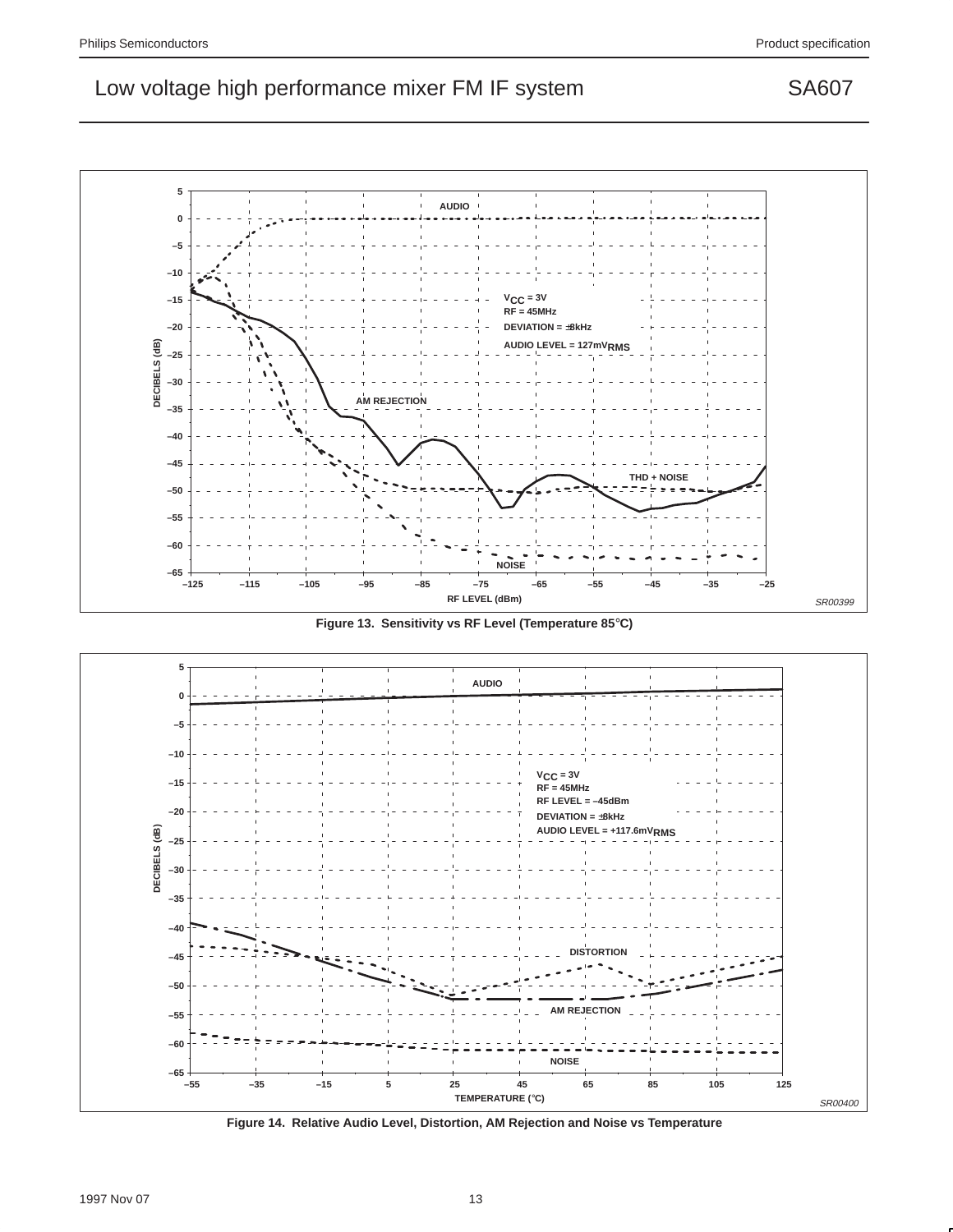

**Figure 13. Sensitivity vs RF Level (Temperature 85**°**C)**



**Figure 14. Relative Audio Level, Distortion, AM Rejection and Noise vs Temperature**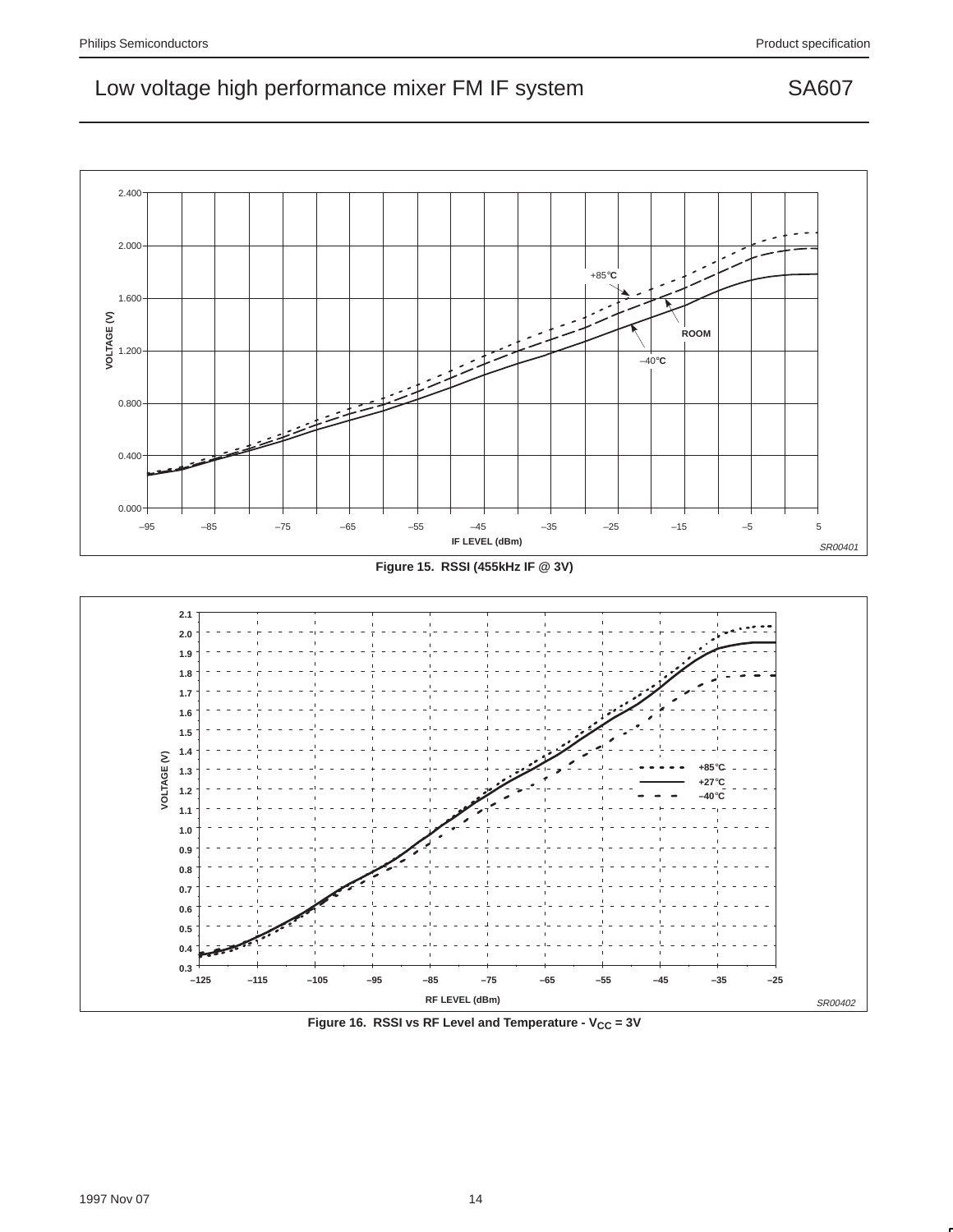





Figure 16. RSSI vs RF Level and Temperature - V<sub>CC</sub> = 3V

1997 Nov 07 14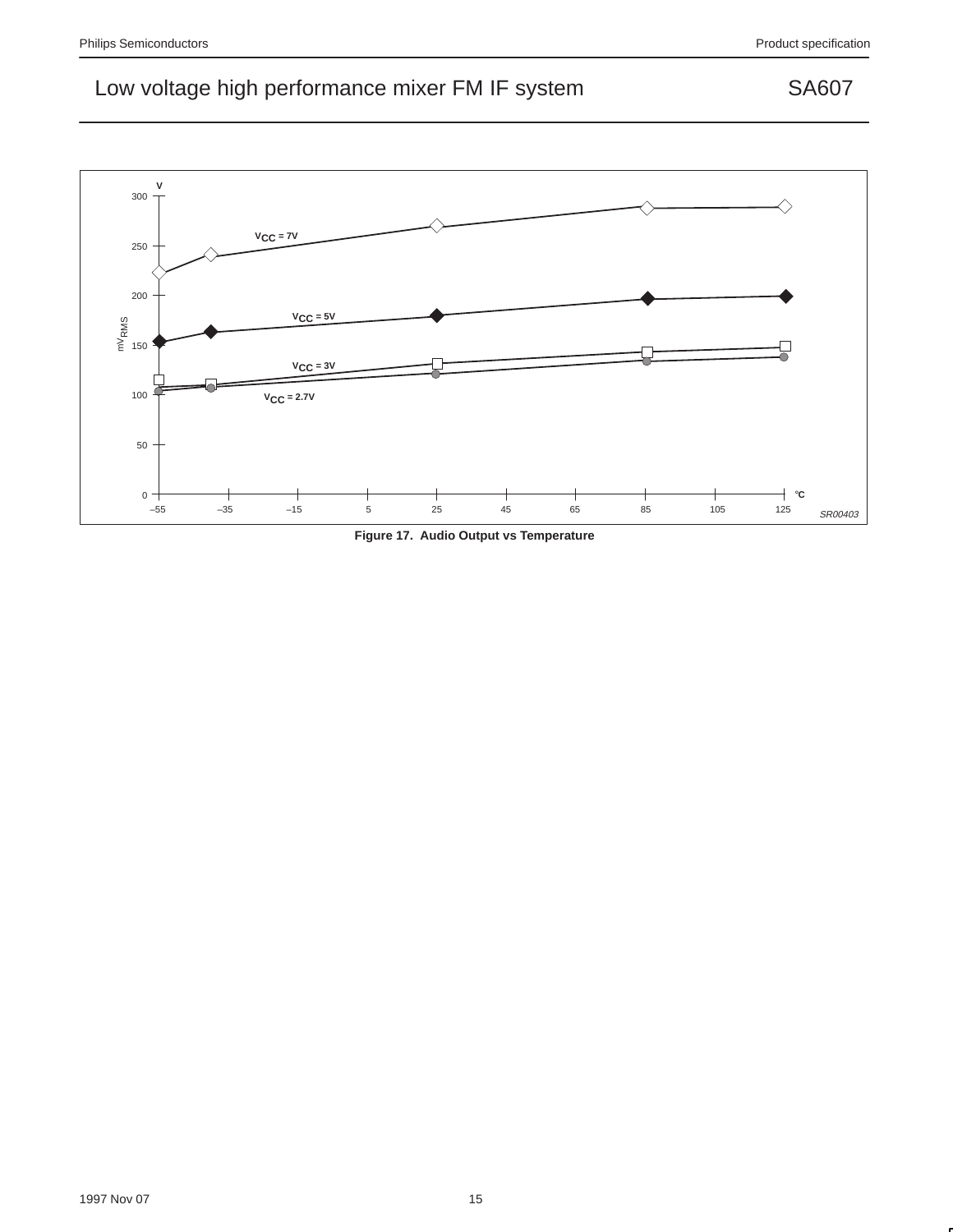

**Figure 17. Audio Output vs Temperature**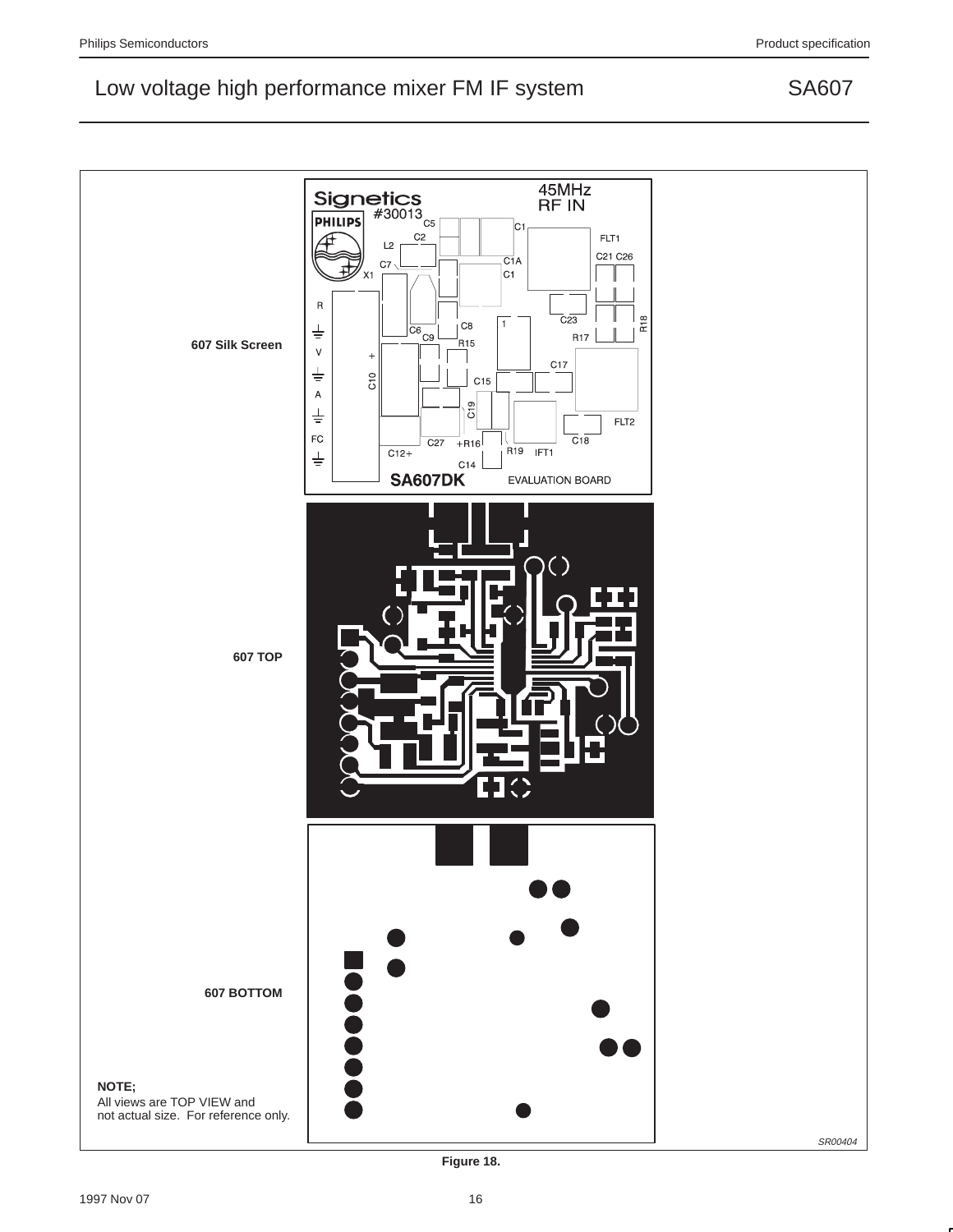



**Figure 18.**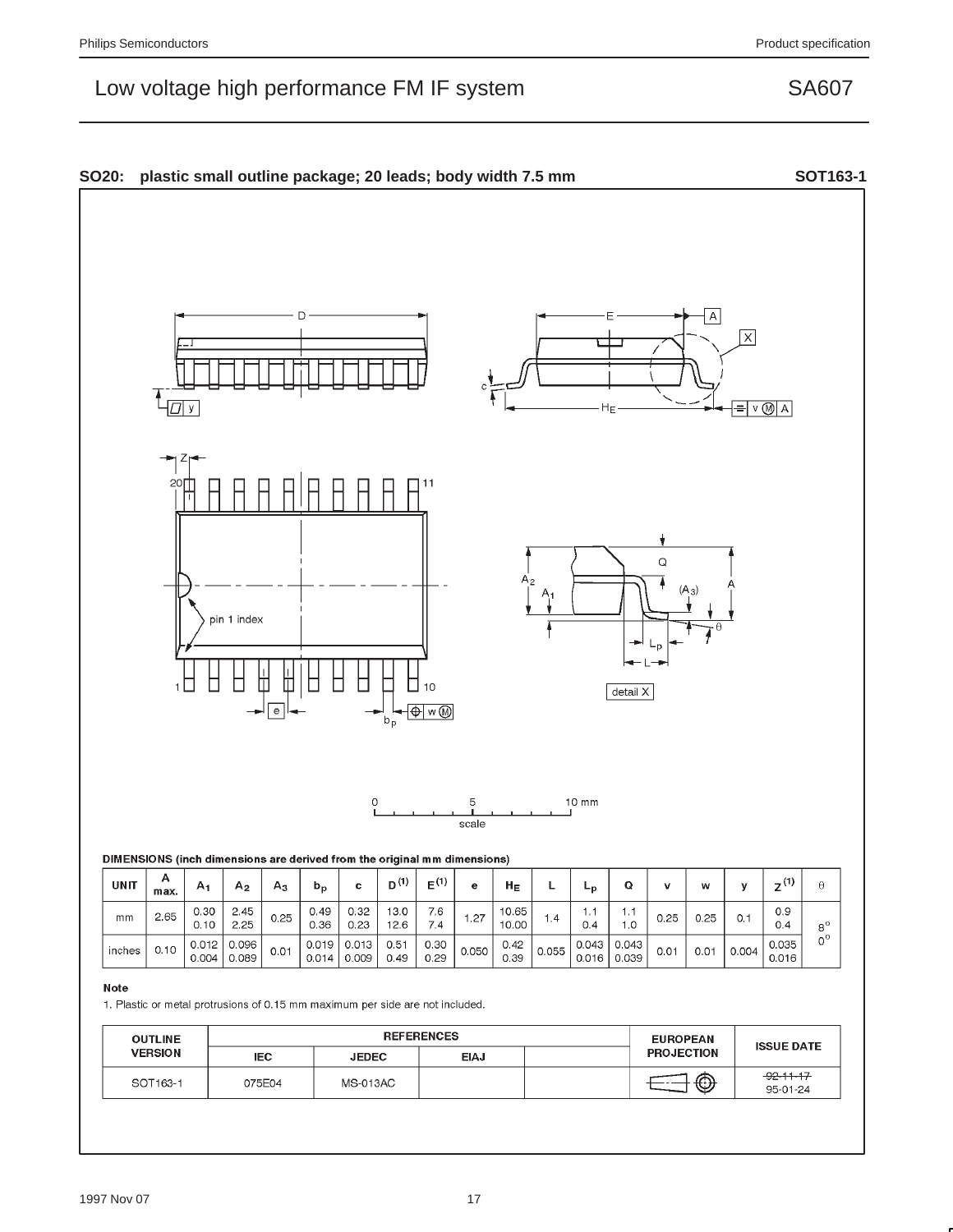#### SO20: plastic small outline package; 20 leads; body width 7.5 mm  $\overline{A}$  $x$  $T_{\overline{D|y}}$  $= v$  M A HE  $\mathsf Q$  $\overline{A_2}$  $(A_3)$ pin 1 index 丗 ◫ ┍ □ Г  $10$  $detail X$  $\overline{e}$ ⊦⊕∣w⊛  $b_p$  $10$  mm  $\circ$ 5 scale DIMENSIONS (inch dimensions are derived from the original mm dimensions) A  $2^{(1)}$  $D^{(1)}$  $E^{(1)}$ **UNIT**  $\mathsf{L}% _{0}\left( \mathsf{L}_{0}\right) ^{\ast}=\mathsf{L}_{0}\left( \mathsf{L}_{0}\right) ^{\ast}$  $\mathbf Q$ v  $\Theta$  $A<sub>1</sub>$  ${\sf A}_2$  $A_3$  $b_p$  $\mathbf c$  $\mathbf{e}$  ${\sf H}_{\sf E}$  $L_{p}$ w y max. 10.65  $0.30$ 2.45  $0.49$  $0.32$  $13.0$ 7.6  $1.1$  $1.1$  $0.9$

### Note

 $mm$ 

inches

2.65

 $0.10$ 

 $0.10$ 

 $0.012$ 

 $0.004$ 

2.25

0.096

0.089

1. Plastic or metal protrusions of 0.15 mm maximum per side are not included.

 $0.25$ 

 $0.01$ 

0.36

0.019

 $0.014$ 

 $0.23$ 

 $0.013$ 

 $0.009$ 

 $12.6$ 

 $0.51$ 

 $0.49$ 

 $7.4$ 

 $0.30$ 

 $0.29$ 

| <b>OUTLINE</b> | <b>REFERENCES</b> |              |             | <b>EUROPEAN</b> | <b>ISSUE DATE</b> |                             |
|----------------|-------------------|--------------|-------------|-----------------|-------------------|-----------------------------|
| <b>VERSION</b> | IEC.              | <b>JEDEC</b> | <b>EIAJ</b> |                 | <b>PROJECTION</b> |                             |
| SOT163-1       | 075E04            | MS-013AC     |             |                 | $\bigcirc$        | $-92 - 11 - 17$<br>95-01-24 |

 $1.27$ 

 $0.050$ 

 $1.4$ 

 $0.055$ 

 $0.4$ 

 $0.043$ 

 $0.016$ 

10.00

 $0.42$ 

0.39

 $0.25$ 

 $0.01$ 

 $1.0$ 

 $0.043$ 

0.039

 $0.25$ 

 $0.01$ 

 $0.1$ 

 $0.004$ 

 $0.4$ 

0.035

0.016

 $8^{\rm o}$ 

 $\tilde{0}^{\circ}$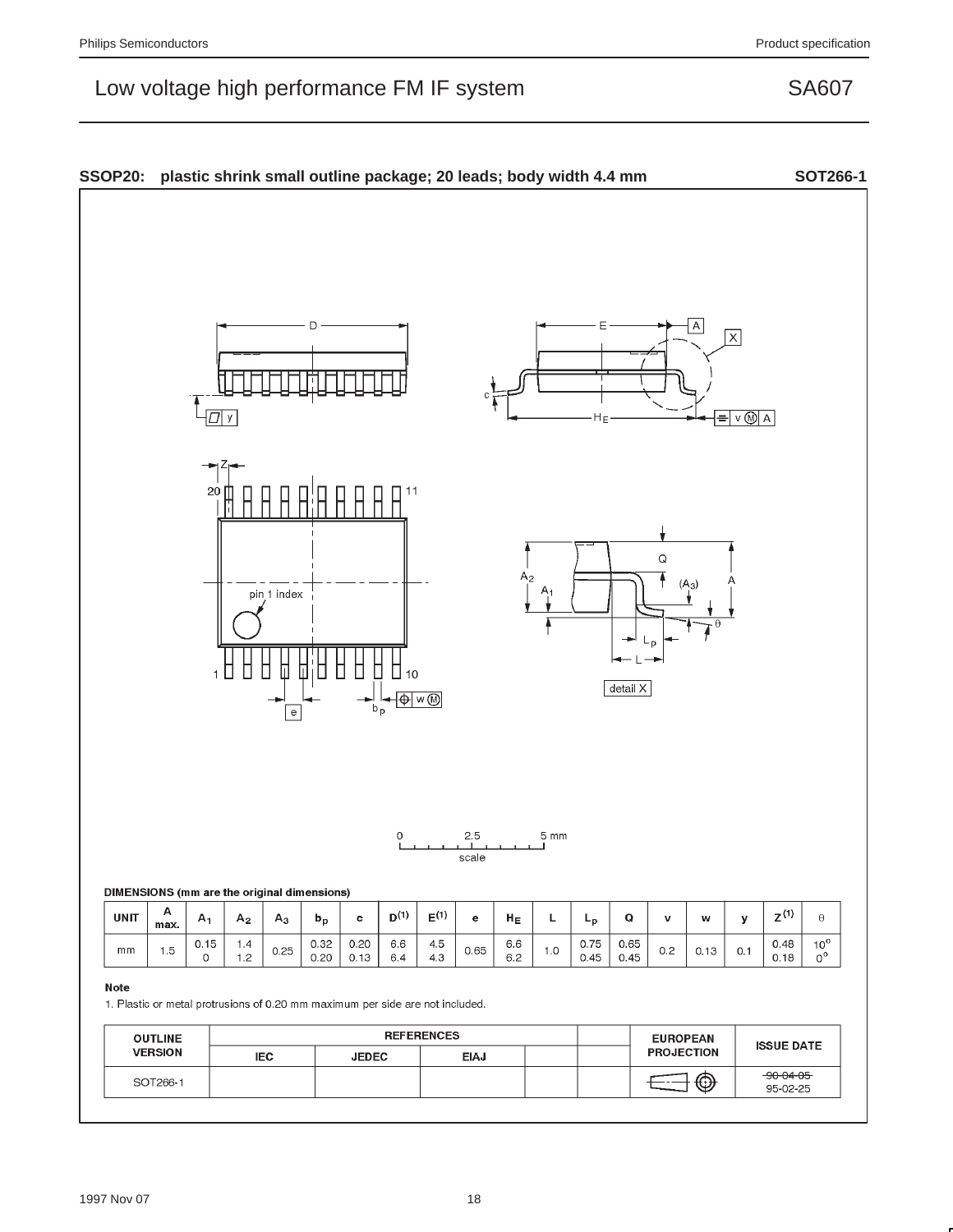#### SSOP20: plastic shrink small outline package; 20 leads; body width 4.4 mm SOT266-1 D  $\overline{\mathsf{x}}$  $\sqrt{\Pi}$  y  $= v \otimes |A|$  $H_F$  $\frac{20}{1}$ Q  $A<sub>2</sub>$ Ŧ  $(A_3)$  $A_1$ pin<sub>1</sub> index П Г Γ П Г Ω detail X  $\overline{\bigoplus \mathsf{w} \mathsf{w}}$ -II⊶<br>bp  $\overline{\rm e}$  $2.5$  $5 \text{ mm}$  $\Omega$ scale DIMENSIONS (mm are the original dimensions)  $\boldsymbol{\mathsf{A}}$  $\mathsf{Z}^{\left(1\right)}$ **UNIT**  $D^{(1)}$  $\mathsf{E}^{\left(1\right)}$  ${\sf H}_{\sf E}$  $\mathbf Q$  $\Theta$  $\mathsf{A}_1$  $\mathsf{L}% _{\mathsf{L}}\left( \mathsf{L}\right) \equiv\mathsf{L}_{\mathsf{L}}\left( \mathsf{L}\right)$  $A<sub>2</sub>$  $A_3$  $b_p$  $\mathbf c$  $\mathbf{e}% _{t}\left( t\right)$  $L_{p}$  $\mathbf v$ w у max.  $0.20$  $0.75$  $0.65$  $10<sup>o</sup>$  $0.15$  $1.4$  $0.32$  $6.6\,$  $4.5$  $6.6\,$  $0.48$  $mm$  $1.5$  $0.25$  $0.65$  $1.0$  $0.2$  $0.1$  $0.13$  $\circ$  $1.2$  $0.20$  $0.13$  $6.4$  $4.3$  $6.2$  $0.45$  $0.45$  $0.18$  $0^{\,0}$ Note 1. Plastic or metal protrusions of 0.20 mm maximum per side are not included. **REFERENCES OUTLINE EUROPEAN ISSUE DATE VERSION PROJECTION IEC JEDEC EIAJ**  $-90 - 04 - 05$  $\bigoplus$ SOT266-1 €-95-02-25